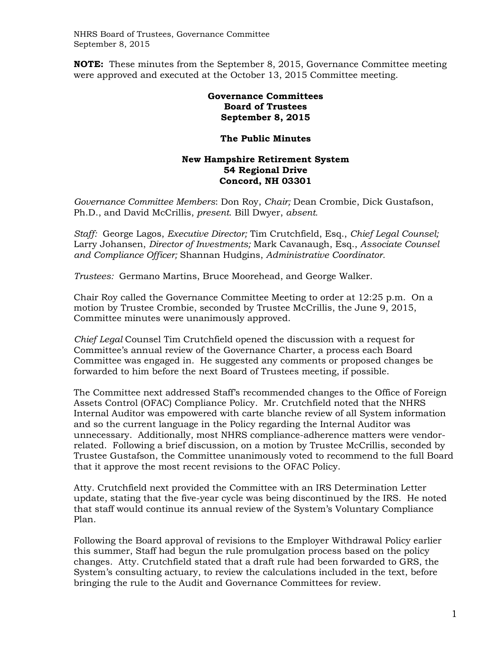NHRS Board of Trustees, Governance Committee September 8, 2015

**NOTE:** These minutes from the September 8, 2015, Governance Committee meeting were approved and executed at the October 13, 2015 Committee meeting.

## **Governance Committees Board of Trustees September 8, 2015**

## **The Public Minutes**

## **New Hampshire Retirement System 54 Regional Drive Concord, NH 03301**

*Governance Committee Members*: Don Roy, *Chair;* Dean Crombie, Dick Gustafson, Ph.D., and David McCrillis, *present*. Bill Dwyer, *absent.* 

*Staff:* George Lagos, *Executive Director;* Tim Crutchfield, Esq., *Chief Legal Counsel;*  Larry Johansen, *Director of Investments;* Mark Cavanaugh, Esq., *Associate Counsel and Compliance Officer;* Shannan Hudgins, *Administrative Coordinator.* 

*Trustees:* Germano Martins, Bruce Moorehead, and George Walker.

Chair Roy called the Governance Committee Meeting to order at 12:25 p.m. On a motion by Trustee Crombie, seconded by Trustee McCrillis, the June 9, 2015, Committee minutes were unanimously approved.

*Chief Legal* Counsel Tim Crutchfield opened the discussion with a request for Committee's annual review of the Governance Charter, a process each Board Committee was engaged in. He suggested any comments or proposed changes be forwarded to him before the next Board of Trustees meeting, if possible.

The Committee next addressed Staff's recommended changes to the Office of Foreign Assets Control (OFAC) Compliance Policy. Mr. Crutchfield noted that the NHRS Internal Auditor was empowered with carte blanche review of all System information and so the current language in the Policy regarding the Internal Auditor was unnecessary. Additionally, most NHRS compliance-adherence matters were vendorrelated. Following a brief discussion, on a motion by Trustee McCrillis, seconded by Trustee Gustafson, the Committee unanimously voted to recommend to the full Board that it approve the most recent revisions to the OFAC Policy.

Atty. Crutchfield next provided the Committee with an IRS Determination Letter update, stating that the five-year cycle was being discontinued by the IRS. He noted that staff would continue its annual review of the System's Voluntary Compliance Plan.

Following the Board approval of revisions to the Employer Withdrawal Policy earlier this summer, Staff had begun the rule promulgation process based on the policy changes. Atty. Crutchfield stated that a draft rule had been forwarded to GRS, the System's consulting actuary, to review the calculations included in the text, before bringing the rule to the Audit and Governance Committees for review.